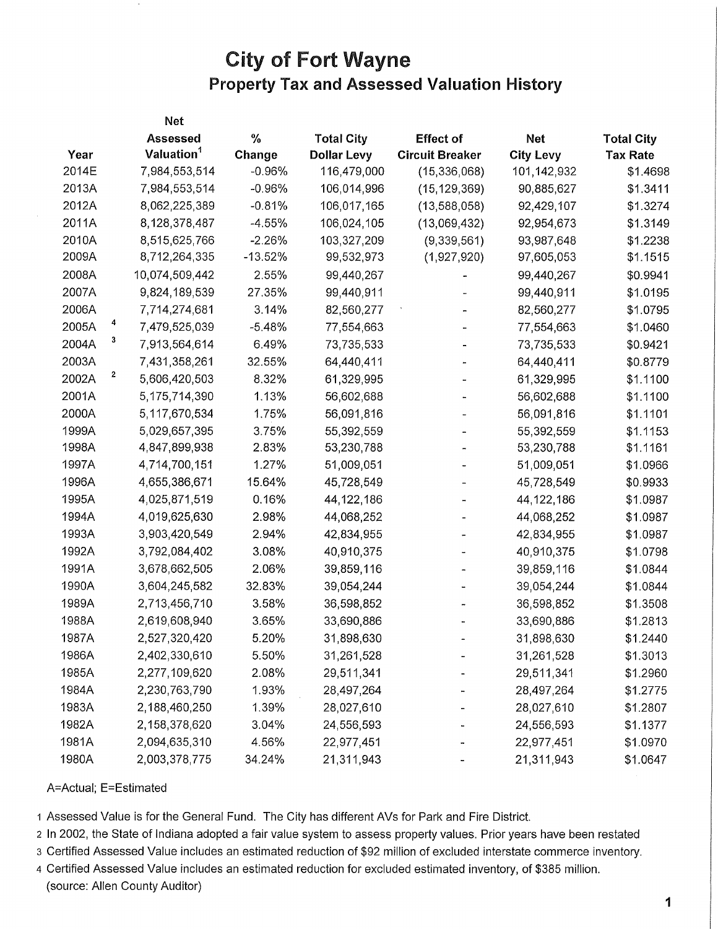## **City of Fort Wayne Property** Tax **and Assessed Valuation History**

|       |              | Net                    |           |                    |                        |                  |                   |
|-------|--------------|------------------------|-----------|--------------------|------------------------|------------------|-------------------|
|       |              | <b>Assessed</b>        | %         | <b>Total City</b>  | <b>Effect of</b>       | <b>Net</b>       | <b>Total City</b> |
| Year  |              | Valuation <sup>1</sup> | Change    | <b>Dollar Levy</b> | <b>Circuit Breaker</b> | <b>City Levy</b> | <b>Tax Rate</b>   |
| 2014E |              | 7,984,553,514          | $-0.96%$  | 116,479,000        | (15, 336, 068)         | 101,142,932      | \$1.4698          |
| 2013A |              | 7,984,553,514          | $-0.96%$  | 106,014,996        | (15, 129, 369)         | 90,885,627       | \$1.3411          |
| 2012A |              | 8,062,225,389          | $-0.81%$  | 106,017,165        | (13,588,058)           | 92,429,107       | \$1.3274          |
| 2011A |              | 8,128,378,487          | $-4.55%$  | 106,024,105        | (13,069,432)           | 92,954,673       | \$1.3149          |
| 2010A |              | 8,515,625,766          | $-2.26%$  | 103,327,209        | (9,339,561)            | 93,987,648       | \$1.2238          |
| 2009A |              | 8,712,264,335          | $-13.52%$ | 99,532,973         | (1,927,920)            | 97,605,053       | \$1.1515          |
| 2008A |              | 10,074,509,442         | 2.55%     | 99,440,267         |                        | 99,440,267       | \$0.9941          |
| 2007A |              | 9,824,189,539          | 27.35%    | 99,440,911         |                        | 99,440,911       | \$1.0195          |
| 2006A |              | 7,714,274,681          | 3.14%     | 82,560,277         |                        | 82,560,277       | \$1.0795          |
| 2005A |              | 7,479,525,039          | $-5.48%$  | 77,554,663         |                        | 77,554,663       | \$1.0460          |
| 2004A | 3            | 7,913,564,614          | 6.49%     | 73,735,533         |                        | 73,735,533       | \$0.9421          |
| 2003A |              | 7,431,358,261          | 32.55%    | 64,440,411         |                        | 64,440,411       | \$0.8779          |
| 2002A | $\mathbf{z}$ | 5,606,420,503          | 8.32%     | 61,329,995         |                        | 61,329,995       | \$1.1100          |
| 2001A |              | 5,175,714,390          | 1.13%     | 56,602,688         |                        | 56,602,688       | \$1.1100          |
| 2000A |              | 5,117,670,534          | 1.75%     | 56,091,816         |                        | 56,091,816       | \$1.1101          |
| 1999A |              | 5,029,657,395          | 3.75%     | 55,392,559         |                        | 55,392,559       | \$1.1153          |
| 1998A |              | 4,847,899,938          | 2.83%     | 53,230,788         |                        | 53,230,788       | \$1.1161          |
| 1997A |              | 4,714,700,151          | 1.27%     | 51,009,051         |                        | 51,009,051       | \$1.0966          |
| 1996A |              | 4,655,386,671          | 15.64%    | 45,728,549         |                        | 45,728,549       | \$0.9933          |
| 1995A |              | 4,025,871,519          | 0.16%     | 44, 122, 186       |                        | 44,122,186       | \$1.0987          |
| 1994A |              | 4,019,625,630          | 2.98%     | 44,068,252         |                        | 44,068,252       | \$1.0987          |
| 1993A |              | 3,903,420,549          | 2.94%     | 42,834,955         |                        | 42,834,955       | \$1.0987          |
| 1992A |              | 3,792,084,402          | 3.08%     | 40,910,375         |                        | 40,910,375       | \$1.0798          |
| 1991A |              | 3,678,662,505          | 2.06%     | 39,859,116         |                        | 39,859,116       | \$1.0844          |
| 1990A |              | 3,604,245,582          | 32.83%    | 39,054,244         |                        | 39,054,244       | \$1.0844          |
| 1989A |              | 2,713,456,710          | 3.58%     | 36,598,852         |                        | 36,598,852       | \$1.3508          |
| 1988A |              | 2,619,608,940          | 3.65%     | 33,690,886         |                        | 33,690,886       | \$1.2813          |
| 1987A |              | 2,527,320,420          | 5.20%     | 31,898,630         |                        | 31,898,630       | \$1.2440          |
| 1986A |              | 2,402,330,610          | 5.50%     | 31,261,528         |                        | 31,261,528       | \$1.3013          |
| 1985A |              | 2,277,109,620          | 2.08%     | 29,511,341         |                        | 29,511,341       | \$1.2960          |
| 1984A |              | 2,230,763,790          | 1.93%     | 28,497,264         |                        | 28,497,264       | \$1.2775          |
| 1983A |              | 2,188,460,250          | 1.39%     | 28,027,610         |                        | 28,027,610       | \$1.2807          |
| 1982A |              | 2,158,378,620          | 3.04%     | 24,556,593         |                        | 24,556,593       | \$1.1377          |
| 1981A |              | 2,094,635,310          | 4.56%     | 22,977,451         |                        | 22,977,451       | \$1.0970          |
| 1980A |              | 2,003,378,775          | 34.24%    | 21,311,943         |                        | 21,311,943       | \$1.0647          |

## A=Actual; E=Estimated

1 Assessed Value is for the General Fund. The City has different AVs for Park and Fire District.

2 In 2002, the State of Indiana adopted a fair value system to assess property values. Prior years have been restated

3 Certified Assessed Value includes an estimated reduction of \$92 million of excluded interstate commerce inventory.

4 Certified Assessed Value includes an estimated reduction for excluded estimated inventory, of \$385 million, (source: Allen County Auditor)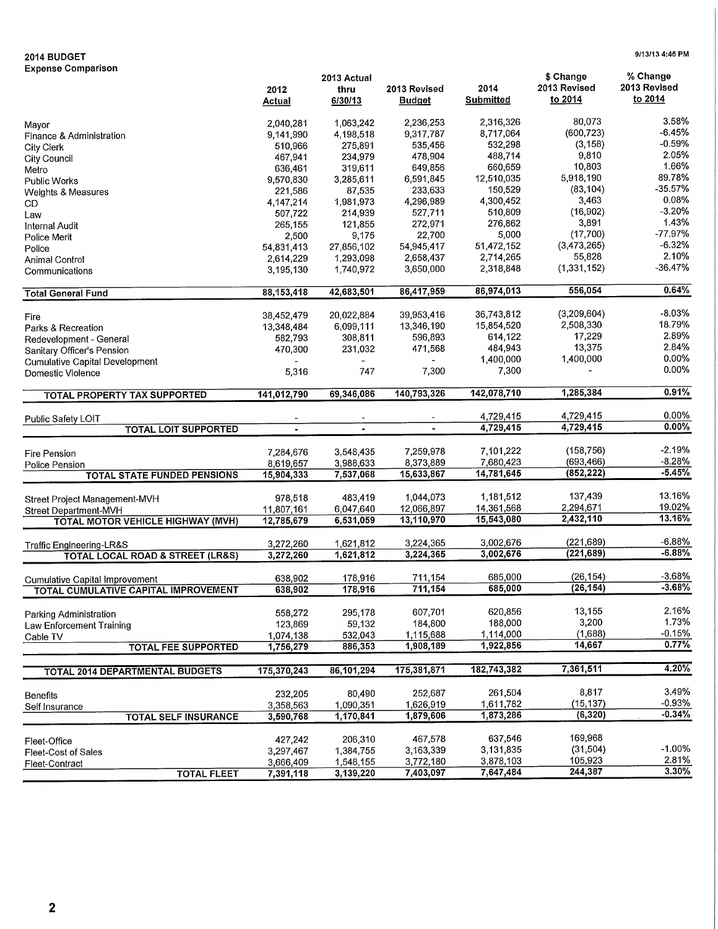## **2014 BUDGET 9/13/13 4:45 PM**

**Expense Comparison** 

|                                                 |                        | 2013 Actual        |                |                  | \$ Change     | % Change     |
|-------------------------------------------------|------------------------|--------------------|----------------|------------------|---------------|--------------|
|                                                 | 2012                   | thru               | 2013 Revised   | 2014             | 2013 Revised  | 2013 Revised |
|                                                 | <b>Actual</b>          | 6/30/13            | <b>Budget</b>  | <b>Submitted</b> | to 2014       | to 2014      |
|                                                 |                        |                    |                |                  |               |              |
| Mayor                                           | 2,040,281              | 1,063,242          | 2,236,253      | 2,316,326        | 80,073        | 3.58%        |
| Finance & Administration                        | 9,141,990              | 4,198,518          | 9,317,787      | 8,717,064        | (600, 723)    | $-6.45%$     |
| <b>City Clerk</b>                               | 510,966                | 275,891            | 535,456        | 532,298          | (3, 158)      | -0.59%       |
| <b>City Council</b>                             | 467,941                | 234,979            | 478,904        | 488,714          | 9,810         | 2.05%        |
| Metro                                           | 636,461                | 319,611            | 649,856        | 660,659          | 10,803        | 1.66%        |
| <b>Public Works</b>                             | 9,570,830              | 3,285,611          | 6,591,845      | 12,510,035       | 5,918,190     | 89.78%       |
| Weights & Measures                              | 221,586                | 87,535             | 233,633        | 150,529          | (83, 104)     | $-35.57%$    |
| CD.                                             | 4,147,214              | 1,981,973          | 4,296,989      | 4,300,452        | 3,463         | 0.08%        |
| Law                                             | 507,722                | 214,939            | 527,711        | 510,809          | (16, 902)     | $-3.20%$     |
| <b>Internal Audit</b>                           | 265,155                | 121,855            | 272,971        | 276,862          | 3,891         | 1.43%        |
| Police Merit                                    | 2,500                  | 9,175              | 22,700         | 5,000            | (17,700)      | $-77.97%$    |
| Police                                          | 54,831,413             | 27,856,102         | 54,945,417     | 51,472,152       | (3,473,265)   | $-6.32%$     |
|                                                 | 2,614,229              | 1,293,098          | 2,658,437      | 2,714,265        | 55,828        | 2.10%        |
| Animal Control                                  |                        | 1,740,972          | 3,650,000      | 2,318,848        | (1, 331, 152) | $-36.47%$    |
| Communications                                  | 3,195,130              |                    |                |                  |               |              |
| <b>Total General Fund</b>                       | 88, 153, 418           | 42,683,501         | 86,417,959     | 86,974,013       | 556,054       | 0.64%        |
|                                                 |                        |                    |                | 36,743,812       | (3,209,604)   | $-8.03%$     |
| Fire                                            | 38,452,479             | 20,022,884         | 39,953,416     |                  |               | 18.79%       |
| Parks & Recreation                              | 13,348,484             | 6,099,111          | 13,346,190     | 15,854,520       | 2,508,330     |              |
| Redevelopment - General                         | 582,793                | 308,811            | 596,893        | 614,122          | 17,229        | 2.89%        |
| Sanitary Officer's Pension                      | 470,300                | 231,032            | 471,568        | 484,943          | 13,375        | 2.84%        |
| <b>Cumulative Capital Development</b>           |                        |                    |                | 1,400,000        | 1,400,000     | 0.00%        |
| Domestic Violence                               | 5,316                  | 747                | 7,300          | 7,300            |               | 0.00%        |
| <b>TOTAL PROPERTY TAX SUPPORTED</b>             | 141,012,790            | 69,346,086         | 140,793,326    | 142,078,710      | 1,285,384     | 0.91%        |
|                                                 |                        |                    |                |                  |               |              |
| Public Safety LOIT                              |                        |                    |                | 4,729,415        | 4,729,415     | $0.00\%$     |
| <b>TOTAL LOIT SUPPORTED</b>                     | $\blacksquare$         | $\blacksquare$     | $\blacksquare$ | 4,729,415        | 4,729,415     | 0.00%        |
|                                                 |                        |                    |                |                  |               |              |
| Fire Pension                                    | 7,284,676              | 3,548,435          | 7,259,978      | 7,101,222        | (158, 756)    | -2.19%       |
| Police Pension                                  | 8,619,657              | 3,988,633          | 8,373,889      | 7,680,423        | (693, 466)    | $-8.28%$     |
| <b>TOTAL STATE FUNDED PENSIONS</b>              | 15,904,333             | 7,537,068          | 15,633,867     | 14,781,645       | (852, 222)    | $-5.45%$     |
|                                                 |                        | 483,419            | 1,044,073      | 1,181,512        | 137,439       | 13.16%       |
| Street Project Management-MVH                   | 978,518                |                    | 12,066,897     | 14,361,568       | 2,294,671     | 19.02%       |
| Street Department-MVH                           | 11,807,161             | 6,047,640          |                | 15,543,080       | 2,432,110     | 13.16%       |
| <b>TOTAL MOTOR VEHICLE HIGHWAY (MVH)</b>        | 12,785,679             | 6,531,059          | 13,110,970     |                  |               |              |
| Traffic Engineering-LR&S                        | 3,272,260              | 1,621,812          | 3,224,365      | 3,002,676        | (221, 689)    | $-6.88%$     |
| <b>TOTAL LOCAL ROAD &amp; STREET (LR&amp;S)</b> | 3,272,260              | 1,621,812          | 3,224,365      | 3,002,676        | (221, 689)    | $-6.88%$     |
|                                                 |                        |                    |                |                  |               |              |
| <b>Cumulative Capital Improvement</b>           | 638,902                | 178,916            | 711,154        | 685,000          | (26, 154)     | $-3.68%$     |
| TOTAL CUMULATIVE CAPITAL IMPROVEMENT            | 638,902                | 178,916            | 711,154        | 685,000          | (26, 154)     | $-3.68%$     |
|                                                 | 558,272                | 295,178            | 607,701        | 620,856          | 13,155        | 2.16%        |
| Parking Administration                          |                        | 59,132             | 184,800        | 188,000          | 3,200         | 1.73%        |
| Law Enforcement Training                        | 123,869                |                    | 1,115,688      | 1,114,000        | (1,688)       | $-0.15%$     |
| Cable TV<br><b>TOTAL FEE SUPPORTED</b>          | 1,074,138<br>1,756,279 | 532,043<br>886,353 | 1,908,189      | 1,922,856        | 14,667        | 0.77%        |
|                                                 |                        |                    |                |                  |               |              |
| <b>TOTAL 2014 DEPARTMENTAL BUDGETS</b>          | 175,370,243            | 86,101,294         | 175,381,871    | 182,743,382      | 7,361,511     | 4.20%        |
|                                                 |                        |                    |                |                  |               | 3.49%        |
| <b>Benefits</b>                                 | 232,205                | 80,490             | 252,687        | 261,504          | 8,817         |              |
| Self Insurance                                  | 3,358,563              | 1,090,351          | 1,626,919      | 1,611,782        | (15, 137)     | $-0.93%$     |
| <b>TOTAL SELF INSURANCE</b>                     | 3,590,768              | 1,170,841          | 1,879,606      | 1,873,286        | (6, 320)      | $-0.34%$     |
|                                                 | 427,242                | 206,310            | 467,578        | 637,546          | 169,968       |              |
| Fleet-Office                                    | 3,297,467              | 1,384,755          | 3,163,339      | 3,131,835        | (31, 504)     | $-1.00%$     |
| <b>Fleet-Cost of Sales</b>                      |                        |                    | 3,772,180      | 3,878,103        | 105,923       | 2.81%        |
| Fleet-Contract                                  | 3,666,409              | 1,548,155          | 7,403,097      | 7,647,484        | 244,387       | 3.30%        |
| <b>TOTAL FLEET</b>                              | 7,391,118              | 3,139,220          |                |                  |               |              |